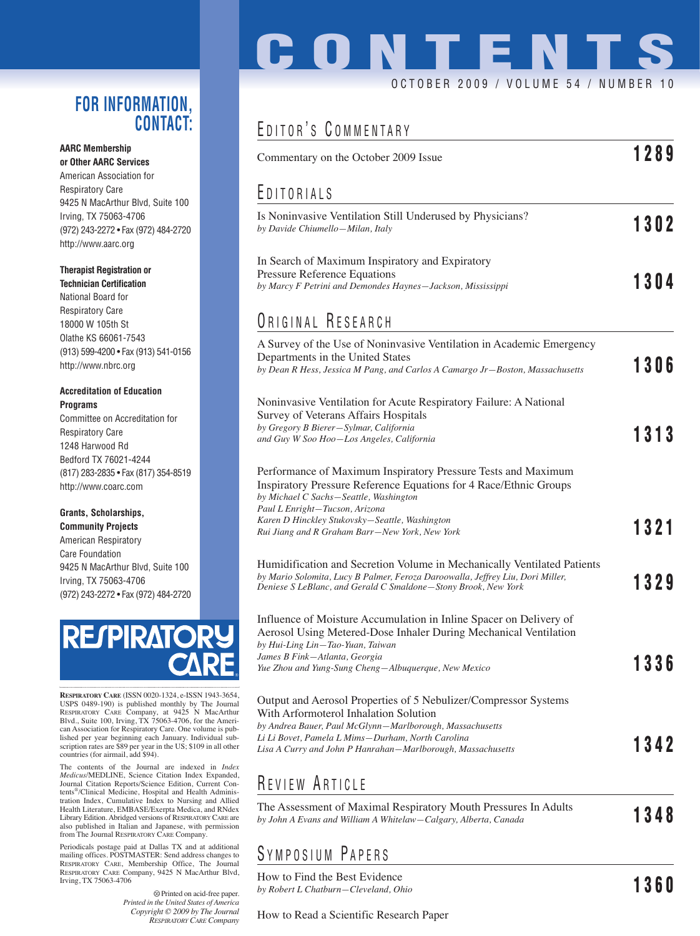### **FOR INFORMATION, CONTACT:**

#### **AARC Membership or Other AARC Services**

American Association for Respiratory Care 9425 N MacArthur Blvd, Suite 100 Irving, TX 75063-4706 (972) 243-2272 • Fax (972) 484-2720 http://www.aarc.org

#### **Therapist Registration or**

**Technician Certification** National Board for Respiratory Care 18000 W 105th St Olathe KS 66061-7543 (913) 599-4200 • Fax (913) 541-0156 http://www.nbrc.org

#### **Accreditation of Education Programs**

Committee on Accreditation for Respiratory Care 1248 Harwood Rd Bedford TX 76021-4244 (817) 283-2835 • Fax (817) 354-8519 http://www.coarc.com

#### **Grants, Scholarships,**

**Community Projects** American Respiratory Care Foundation 9425 N MacArthur Blvd, Suite 100 Irving, TX 75063-4706 (972) 243-2272 • Fax (972) 484-2720



**RESPIRATORY CARE** (ISSN 0020-1324, e-ISSN 1943-3654, USPS 0489-190) is published monthly by The Journal RESPIRATORY CARE Company, at 9425 N MacArthur Blvd., Suite 100, Irving, TX 75063-4706, for the American Association for Respiratory Care. One volume is published per year beginning each January. Individual sub-scription rates are \$89 per year in the US; \$109 in all other countries (for airmail, add \$94).

The contents of the Journal are indexed in *Index Medicus*/MEDLINE, Science Citation Index Expanded, Journal Citation Reports/Science Edition, Current Contents®/Clinical Medicine, Hospital and Health Administration Index, Cumulative Index to Nursing and Allied Health Literature, EMBASE/Exerpta Medica, and RNdex Library Edition. Abridged versions of RESPIRATORY CARE are also published in Italian and Japanese, with permission from The Journal RESPIRATORY CARE Company.

Periodicals postage paid at Dallas TX and at additional mailing offices. POSTMASTER: Send address changes to RESPIRATORY CARE, Membership Office, The Journal RESPIRATORY CARE Company, 9425 N MacArthur Blvd, Irving, TX 75063-4706

> Printed on acid-free paper. *Printed in the United States of America Copyright © 2009 by The Journal RESPIRATORY CARE Company*

# **CONTENTS** OCTOBER 2009 / VOLUME 54 / NUMBER 10

### EDITOR'S COMMENTARY

| Commentary on the October 2009 Issue                                                                                                                                                                                                                                                                                                                            | 1289    |
|-----------------------------------------------------------------------------------------------------------------------------------------------------------------------------------------------------------------------------------------------------------------------------------------------------------------------------------------------------------------|---------|
| EDITORIALS                                                                                                                                                                                                                                                                                                                                                      |         |
| Is Noninvasive Ventilation Still Underused by Physicians?<br>by Davide Chiumello-Milan, Italy                                                                                                                                                                                                                                                                   | 1302    |
| In Search of Maximum Inspiratory and Expiratory<br>Pressure Reference Equations<br>by Marcy F Petrini and Demondes Haynes-Jackson, Mississippi                                                                                                                                                                                                                  | 1304    |
| ORIGINAL RESEARCH                                                                                                                                                                                                                                                                                                                                               |         |
| A Survey of the Use of Noninvasive Ventilation in Academic Emergency<br>Departments in the United States<br>by Dean R Hess, Jessica M Pang, and Carlos A Camargo Jr-Boston, Massachusetts                                                                                                                                                                       | 1306    |
| Noninvasive Ventilation for Acute Respiratory Failure: A National<br>Survey of Veterans Affairs Hospitals<br>by Gregory B Bierer-Sylmar, California                                                                                                                                                                                                             | 1313    |
| and Guy W Soo Hoo-Los Angeles, California<br>Performance of Maximum Inspiratory Pressure Tests and Maximum<br>Inspiratory Pressure Reference Equations for 4 Race/Ethnic Groups<br>by Michael C Sachs-Seattle, Washington<br>Paul L Enright-Tucson, Arizona<br>Karen D Hinckley Stukovsky-Seattle, Washington<br>Rui Jiang and R Graham Barr–New York, New York | 1321    |
| Humidification and Secretion Volume in Mechanically Ventilated Patients<br>by Mario Solomita, Lucy B Palmer, Feroza Daroowalla, Jeffrey Liu, Dori Miller,<br>Deniese S LeBlanc, and Gerald C Smaldone-Stony Brook, New York                                                                                                                                     | 1329    |
| Influence of Moisture Accumulation in Inline Spacer on Delivery of<br>Aerosol Using Metered-Dose Inhaler During Mechanical Ventilation<br>by Hui-Ling Lin-Tao-Yuan, Taiwan<br>James B Fink-Atlanta, Georgia<br>Yue Zhou and Yung-Sung Cheng-Albuquerque, New Mexico                                                                                             | 1336    |
| Output and Aerosol Properties of 5 Nebulizer/Compressor Systems<br>With Arformoterol Inhalation Solution<br>by Andrea Bauer, Paul McGlynn-Marlborough, Massachusetts<br>Li Li Bovet, Pamela L Mims-Durham, North Carolina<br>Lisa A Curry and John P Hanrahan—Marlborough, Massachusetts                                                                        | 1342    |
| REVIEW ARTICLE                                                                                                                                                                                                                                                                                                                                                  |         |
| The Assessment of Maximal Respiratory Mouth Pressures In Adults<br>by John A Evans and William A Whitelaw–Calgary, Alberta, Canada                                                                                                                                                                                                                              | 1348    |
| SYMPOSIUM PAPERS                                                                                                                                                                                                                                                                                                                                                |         |
| How to Find the Best Evidence                                                                                                                                                                                                                                                                                                                                   | 4 9 G N |

*by Robert L Chatburn—Cleveland, Ohio* **1360** 

How to Read a Scientific Research Paper